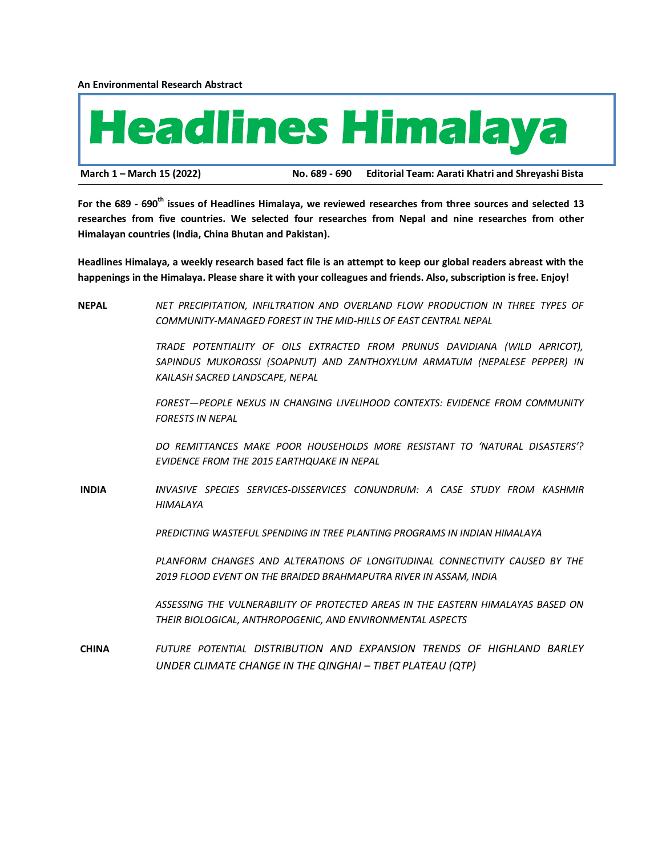**An Environmental Research Abstract**



**March 1 – March 15 (2022) No. 689 - 690 Editorial Team: Aarati Khatri and Shreyashi Bista**

**For the 689 - 690th issues of Headlines Himalaya, we reviewed researches from three sources and selected 13 researches from five countries. We selected four researches from Nepal and nine researches from other Himalayan countries (India, China Bhutan and Pakistan).**

**Headlines Himalaya, a weekly research based fact file is an attempt to keep our global readers abreast with the happenings in the Himalaya. Please share it with your colleagues and friends. Also, subscription is free. Enjoy!**

**NEPAL** *NET PRECIPITATION, INFILTRATION AND OVERLAND FLOW PRODUCTION IN THREE TYPES OF COMMUNITY-MANAGED FOREST IN THE MID-HILLS OF EAST CENTRAL NEPAL*

> *TRADE POTENTIALITY OF OILS EXTRACTED FROM PRUNUS DAVIDIANA (WILD APRICOT), SAPINDUS MUKOROSSI (SOAPNUT) AND ZANTHOXYLUM ARMATUM (NEPALESE PEPPER) IN KAILASH SACRED LANDSCAPE, NEPAL*

> *FOREST—PEOPLE NEXUS IN CHANGING LIVELIHOOD CONTEXTS: EVIDENCE FROM COMMUNITY FORESTS IN NEPAL*

> *DO REMITTANCES MAKE POOR HOUSEHOLDS MORE RESISTANT TO 'NATURAL DISASTERS'? EVIDENCE FROM THE 2015 EARTHQUAKE IN NEPAL*

**INDIA** *INVASIVE SPECIES SERVICES-DISSERVICES CONUNDRUM: A CASE STUDY FROM KASHMIR HIMALAYA*

*PREDICTING WASTEFUL SPENDING IN TREE PLANTING PROGRAMS IN INDIAN HIMALAYA*

PLANFORM CHANGES AND ALTERATIONS OF LONGITUDINAL CONNECTIVITY CAUSED BY THE *2019 FLOOD EVENT ON THE BRAIDED BRAHMAPUTRA RIVER IN ASSAM, INDIA*

*ASSESSING THE VULNERABILITY OF PROTECTED AREAS IN THE EASTERN HIMALAYAS BASED ON THEIR BIOLOGICAL, ANTHROPOGENIC, AND ENVIRONMENTAL ASPECTS*

**CHINA** *FUTURE POTENTIAL DISTRIBUTION AND EXPANSION TRENDS OF HIGHLAND BARLEY UNDER CLIMATE CHANGE IN THE QINGHAI – TIBET PLATEAU (QTP)*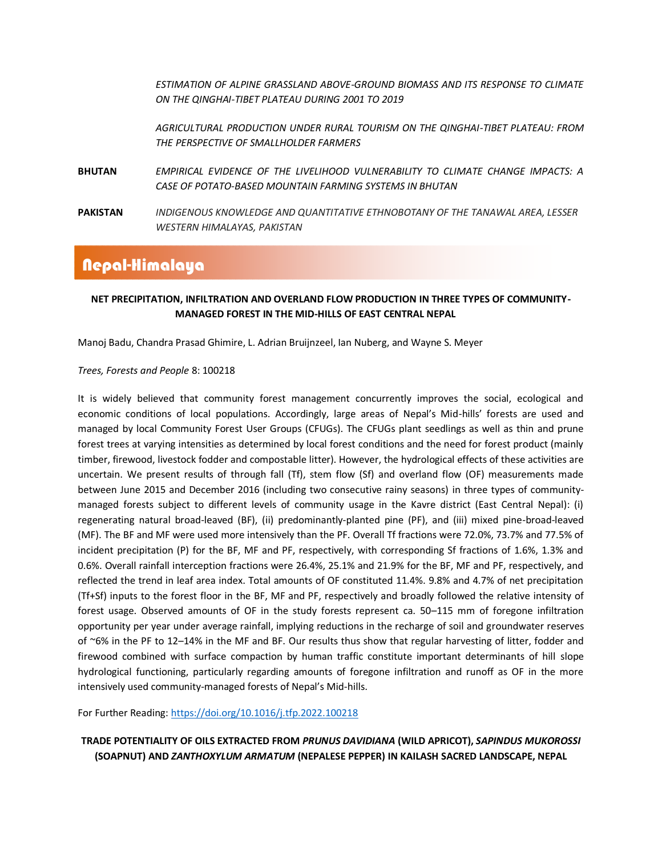*ESTIMATION OF ALPINE GRASSLAND ABOVE-GROUND BIOMASS AND ITS RESPONSE TO CLIMATE ON THE QINGHAI-TIBET PLATEAU DURING 2001 TO 2019*

*AGRICULTURAL PRODUCTION UNDER RURAL TOURISM ON THE QINGHAI-TIBET PLATEAU: FROM THE PERSPECTIVE OF SMALLHOLDER FARMERS*

**BHUTAN** *EMPIRICAL EVIDENCE OF THE LIVELIHOOD VULNERABILITY TO CLIMATE CHANGE IMPACTS: A CASE OF POTATO-BASED MOUNTAIN FARMING SYSTEMS IN BHUTAN*

**PAKISTAN** *INDIGENOUS KNOWLEDGE AND QUANTITATIVE ETHNOBOTANY OF THE TANAWAL AREA, LESSER WESTERN HIMALAYAS, PAKISTAN*

## Nepal-Himalaya

### **NET PRECIPITATION, INFILTRATION AND OVERLAND FLOW PRODUCTION IN THREE TYPES OF COMMUNITY-MANAGED FOREST IN THE MID-HILLS OF EAST CENTRAL NEPAL**

Manoj Badu, Chandra Prasad Ghimire, L. Adrian Bruijnzeel, Ian Nuberg, and Wayne S. Meyer

### *Trees, Forests and People* 8: 100218

It is widely believed that community forest management concurrently improves the social, ecological and economic conditions of local populations. Accordingly, large areas of Nepal's Mid-hills' forests are used and managed by local Community Forest User Groups (CFUGs). The CFUGs plant seedlings as well as thin and prune forest trees at varying intensities as determined by local forest conditions and the need for forest product (mainly timber, firewood, livestock fodder and compostable litter). However, the hydrological effects of these activities are uncertain. We present results of through fall (Tf), stem flow (Sf) and overland flow (OF) measurements made between June 2015 and December 2016 (including two consecutive rainy seasons) in three types of communitymanaged forests subject to different levels of community usage in the Kavre district (East Central Nepal): (i) regenerating natural broad-leaved (BF), (ii) predominantly-planted pine (PF), and (iii) mixed pine-broad-leaved (MF). The BF and MF were used more intensively than the PF. Overall Tf fractions were 72.0%, 73.7% and 77.5% of incident precipitation (P) for the BF, MF and PF, respectively, with corresponding Sf fractions of 1.6%, 1.3% and 0.6%. Overall rainfall interception fractions were 26.4%, 25.1% and 21.9% for the BF, MF and PF, respectively, and reflected the trend in leaf area index. Total amounts of OF constituted 11.4%. 9.8% and 4.7% of net precipitation (Tf+Sf) inputs to the forest floor in the BF, MF and PF, respectively and broadly followed the relative intensity of forest usage. Observed amounts of OF in the study forests represent ca. 50–115 mm of foregone infiltration opportunity per year under average rainfall, implying reductions in the recharge of soil and groundwater reserves of ~6% in the PF to 12–14% in the MF and BF. Our results thus show that regular harvesting of litter, fodder and firewood combined with surface compaction by human traffic constitute important determinants of hill slope hydrological functioning, particularly regarding amounts of foregone infiltration and runoff as OF in the more intensively used community-managed forests of Nepal's Mid-hills.

For Further Reading:<https://doi.org/10.1016/j.tfp.2022.100218>

**TRADE POTENTIALITY OF OILS EXTRACTED FROM** *PRUNUS DAVIDIANA* **(WILD APRICOT),** *SAPINDUS MUKOROSSI* **(SOAPNUT) AND** *ZANTHOXYLUM ARMATUM* **(NEPALESE PEPPER) IN KAILASH SACRED LANDSCAPE, NEPAL**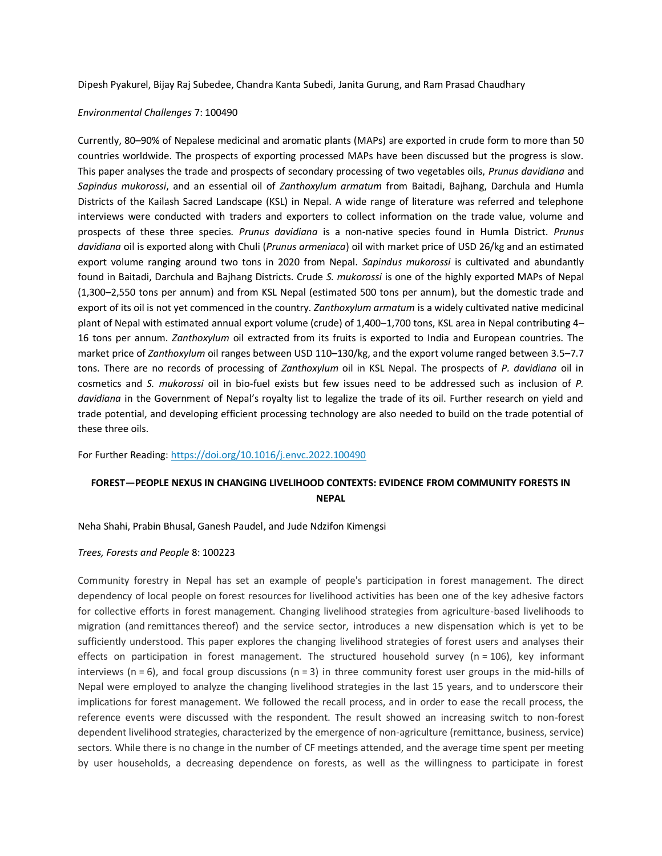Dipesh Pyakurel, Bijay Raj Subedee, Chandra Kanta Subedi, Janita Gurung, and Ram Prasad Chaudhary

### *Environmental Challenges* 7: 100490

Currently, 80–90% of Nepalese medicinal and aromatic plants (MAPs) are exported in crude form to more than 50 countries worldwide. The prospects of exporting processed MAPs have been discussed but the progress is slow. This paper analyses the trade and prospects of secondary processing of two vegetables oils, *Prunus davidiana* and *Sapindus mukorossi*, and an essential oil of *Zanthoxylum armatum* from Baitadi, Bajhang, Darchula and Humla Districts of the Kailash Sacred Landscape (KSL) in Nepal. A wide range of literature was referred and telephone interviews were conducted with traders and exporters to collect information on the trade value, volume and prospects of these three species. *Prunus davidiana* is a non-native species found in Humla District. *Prunus davidiana* oil is exported along with Chuli (*Prunus armeniaca*) oil with market price of USD 26/kg and an estimated export volume ranging around two tons in 2020 from Nepal. *Sapindus mukorossi* is cultivated and abundantly found in Baitadi, Darchula and Bajhang Districts. Crude *S. mukorossi* is one of the highly exported MAPs of Nepal (1,300–2,550 tons per annum) and from KSL Nepal (estimated 500 tons per annum), but the domestic trade and export of its oil is not yet commenced in the country. *Zanthoxylum armatum* is a widely cultivated native medicinal plant of Nepal with estimated annual export volume (crude) of 1,400–1,700 tons, KSL area in Nepal contributing 4– 16 tons per annum. *Zanthoxylum* oil extracted from its fruits is exported to India and European countries. The market price of *Zanthoxylum* oil ranges between USD 110–130/kg, and the export volume ranged between 3.5–7.7 tons. There are no records of processing of *Zanthoxylum* oil in KSL Nepal. The prospects of *P. davidiana* oil in cosmetics and *S. mukorossi* oil in bio-fuel exists but few issues need to be addressed such as inclusion of *P. davidiana* in the Government of Nepal's royalty list to legalize the trade of its oil. Further research on yield and trade potential, and developing efficient processing technology are also needed to build on the trade potential of these three oils.

For Further Reading:<https://doi.org/10.1016/j.envc.2022.100490>

### **FOREST—PEOPLE NEXUS IN CHANGING LIVELIHOOD CONTEXTS: EVIDENCE FROM COMMUNITY FORESTS IN NEPAL**

Neha Shahi, Prabin Bhusal, Ganesh Paudel, and Jude Ndzifon Kimengsi

#### *[Trees, Forests and People](https://www.sciencedirect.com/journal/trees-forests-and-people)* [8:](https://www.sciencedirect.com/journal/trees-forests-and-people) 100223

Community forestry in Nepal has set an example of people's participation in forest management. The direct dependency of local people on [forest resources](https://www.sciencedirect.com/topics/agricultural-and-biological-sciences/forest-reserves) for livelihood activities has been one of the key adhesive factors for collective efforts in forest management. Changing livelihood strategies from agriculture-based livelihoods to migration (and [remittances](https://www.sciencedirect.com/topics/earth-and-planetary-sciences/remittance) thereof) and the service sector, introduces a new dispensation which is yet to be sufficiently understood. This paper explores the changing livelihood strategies of forest users and analyses their effects on participation in forest management. The structured household survey ( $n = 106$ ), key informant interviews ( $n = 6$ ), and focal group discussions ( $n = 3$ ) in three community forest user groups in the mid-hills of Nepal were employed to analyze the changing livelihood strategies in the last 15 years, and to underscore their implications for forest management. We followed the recall process, and in order to ease the recall process, the reference events were discussed with the respondent. The result showed an increasing switch to non-forest dependent livelihood strategies, characterized by the emergence of non-agriculture (remittance, business, service) sectors. While there is no change in the number of CF meetings attended, and the average time spent per meeting by user households, a decreasing dependence on forests, as well as the willingness to participate in forest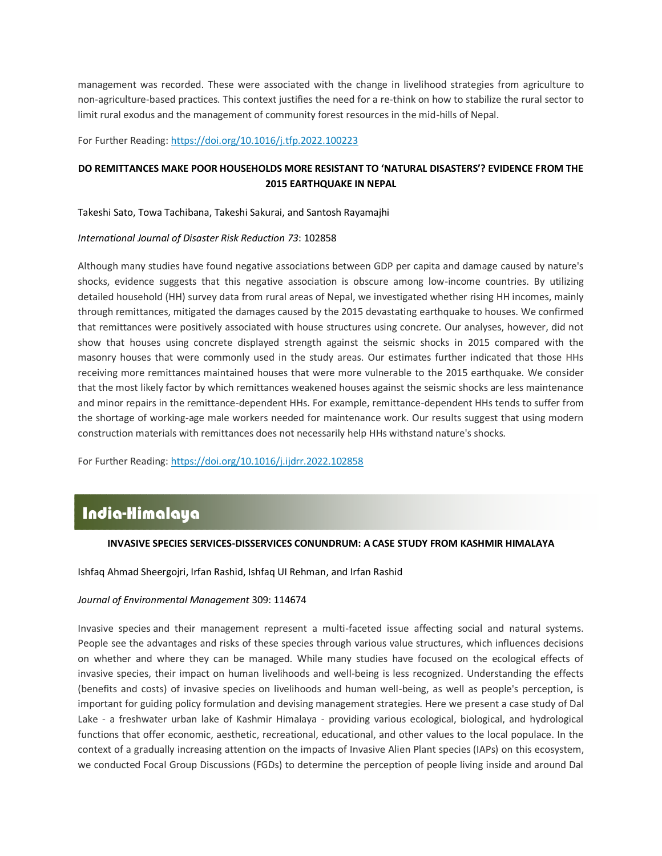management was recorded. These were associated with the change in livelihood strategies from agriculture to non-agriculture-based practices. This context justifies the need for a re-think on how to stabilize the rural sector to limit rural exodus and the management of community forest resources in the mid-hills of Nepal.

For Further Reading:<https://doi.org/10.1016/j.tfp.2022.100223>

### **DO REMITTANCES MAKE POOR HOUSEHOLDS MORE RESISTANT TO 'NATURAL DISASTERS'? EVIDENCE FROM THE 2015 EARTHQUAKE IN NEPAL**

Takeshi Sato, Towa Tachibana, Takeshi Sakurai, and Santosh Rayamajhi

#### *[International Journal of Disaster Risk Reduction](https://www.sciencedirect.com/journal/international-journal-of-disaster-risk-reduction) [73](https://www.sciencedirect.com/journal/international-journal-of-disaster-risk-reduction/vol/73/suppl/C)*: 102858

Although many studies have found negative associations between GDP per capita and damage caused by nature's shocks, evidence suggests that this negative association is obscure among low-income countries. By utilizing detailed household (HH) survey data from rural areas of Nepal, we investigated whether rising HH incomes, mainly through [remittances,](https://www.sciencedirect.com/topics/social-sciences/remittances) mitigated the damages caused by the 2015 devastating earthquake to houses. We confirmed that remittances were positively associated with house structures using concrete. Our analyses, however, did not show that houses using concrete displayed strength against the seismic shocks in 2015 compared with the masonry houses that were commonly used in the study areas. Our estimates further indicated that those HHs receiving more remittances maintained houses that were more vulnerable to the 2015 earthquake. We consider that the most likely factor by which remittances weakened houses against the seismic shocks are less maintenance and minor repairs in the remittance-dependent HHs. For example, remittance-dependent HHs tends to suffer from the shortage of working-age male workers needed for maintenance work. Our results suggest that using modern construction materials with remittances does not necessarily help HHs withstand nature's shocks.

For Further Reading:<https://doi.org/10.1016/j.ijdrr.2022.102858>

# **INVASIVE SPECIES SERVICES-DISSERVICES CONUNDRUM: A CASE STUDY FROM KASHMIR HIMALAYA** India-Himalaya

### **INVASIVE SPECIES SERVICES-DISSERVICES CONUNDRUM: A CASE STUDY FROM KASHMIR HIMALAYA**

Ishfaq Ahmad Sheergojri, Irfan Rashid, Ishfaq UI Rehman, and Irfan Rashid

#### *[Journal of Environmental Management](https://www.sciencedirect.com/journal/journal-of-environmental-management)* [309:](https://www.sciencedirect.com/journal/journal-of-environmental-management/vol/309/suppl/C) 114674

[Invasive species](https://www.sciencedirect.com/topics/earth-and-planetary-sciences/invasive-species) and their management represent a multi-faceted issue affecting social and natural systems. People see the advantages and risks of these species through various value structures, which influences decisions on whether and where they can be managed. While many studies have focused on the ecological effects of invasive species, their impact on human livelihoods and well-being is less recognized. Understanding the effects (benefits and costs) of invasive species on livelihoods and human well-being, as well as people's perception, is important for guiding policy formulation and devising management strategies. Here we present a case study of Dal Lake - a freshwater urban lake of Kashmir Himalaya - providing various ecological, biological, and hydrological functions that offer economic, aesthetic, recreational, educational, and other values to the local populace. In the context of a gradually increasing attention on the impacts of Invasive Alien [Plant species](https://www.sciencedirect.com/topics/engineering/plant-specie) (IAPs) on this ecosystem, we conducted Focal Group Discussions (FGDs) to determine the perception of people living inside and around Dal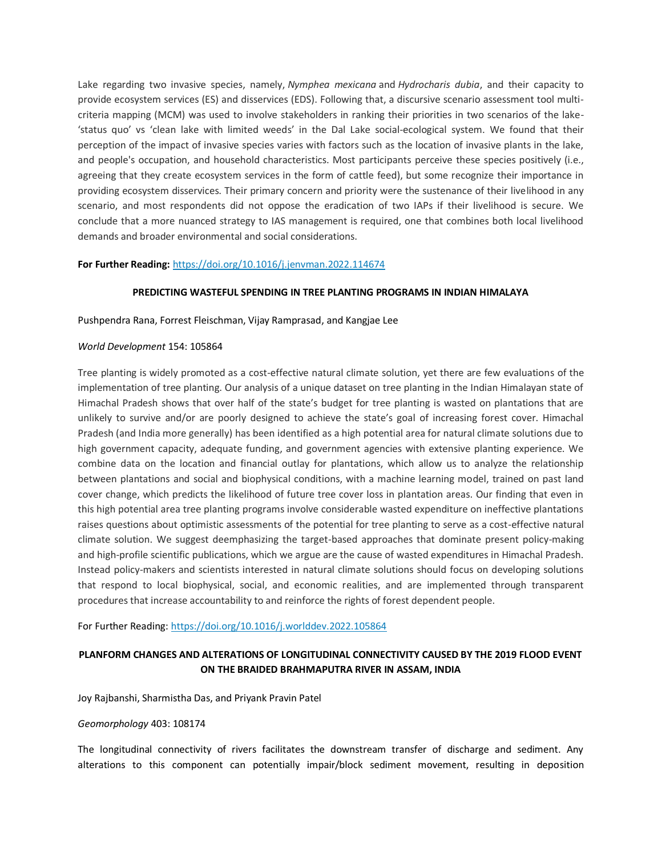Lake regarding two invasive species, namely, *Nymphea mexicana* and *Hydrocharis dubia*, and their capacity to provide ecosystem services (ES) and disservices (EDS). Following that, a discursive scenario assessment tool multicriteria mapping (MCM) was used to involve stakeholders in ranking their priorities in two scenarios of the lake- 'status quo' vs 'clean lake with limited weeds' in the Dal Lake social-ecological system. We found that their perception of the impact of invasive species varies with factors such as the location of invasive plants in the lake, and people's occupation, and household characteristics. Most participants perceive these species positively (i.e., agreeing that they create ecosystem services in the form of cattle feed), but some recognize their importance in providing ecosystem disservices. Their primary concern and priority were the sustenance of their livelihood in any scenario, and most respondents did not oppose the eradication of two IAPs if their livelihood is secure. We conclude that a more nuanced strategy to IAS management is required, one that combines both local livelihood demands and broader environmental and social considerations.

### **For Further Reading:** <https://doi.org/10.1016/j.jenvman.2022.114674>

### **PREDICTING WASTEFUL SPENDING IN TREE PLANTING PROGRAMS IN INDIAN HIMALAYA**

Pushpendra Rana, Forrest Fleischman, Vijay Ramprasad, and Kangjae Lee

#### *World Development* 154: 105864

Tree planting is widely promoted as a cost-effective natural climate solution, yet there are few evaluations of the implementation of tree planting. Our analysis of a unique dataset on tree planting in the Indian Himalayan state of Himachal Pradesh shows that over half of the state's budget for tree planting is wasted on plantations that are unlikely to survive and/or are poorly designed to achieve the state's goal of increasing forest cover. Himachal Pradesh (and India more generally) has been identified as a high potential area for natural climate solutions due to high government capacity, adequate funding, and government agencies with extensive planting experience. We combine data on the location and financial outlay for plantations, which allow us to analyze the relationship between plantations and social and biophysical conditions, with a machine learning model, trained on past land cover change, which predicts the likelihood of future tree cover loss in plantation areas. Our finding that even in this high potential area tree planting programs involve considerable wasted expenditure on ineffective plantations raises questions about optimistic assessments of the potential for tree planting to serve as a cost-effective natural climate solution. We suggest deemphasizing the target-based approaches that dominate present policy-making and high-profile scientific publications, which we argue are the cause of wasted expenditures in Himachal Pradesh. Instead policy-makers and scientists interested in natural climate solutions should focus on developing solutions that respond to local biophysical, social, and economic realities, and are implemented through transparent procedures that increase accountability to and reinforce the rights of forest dependent people.

For Further Reading:<https://doi.org/10.1016/j.worlddev.2022.105864>

### **PLANFORM CHANGES AND ALTERATIONS OF LONGITUDINAL CONNECTIVITY CAUSED BY THE 2019 FLOOD EVENT ON THE BRAIDED BRAHMAPUTRA RIVER IN ASSAM, INDIA**

Joy Rajbanshi, Sharmistha Das, and Priyank Pravin Patel

#### *Geomorphology* 403: 108174

The longitudinal connectivity of rivers facilitates the downstream transfer of discharge and sediment. Any alterations to this component can potentially impair/block sediment movement, resulting in deposition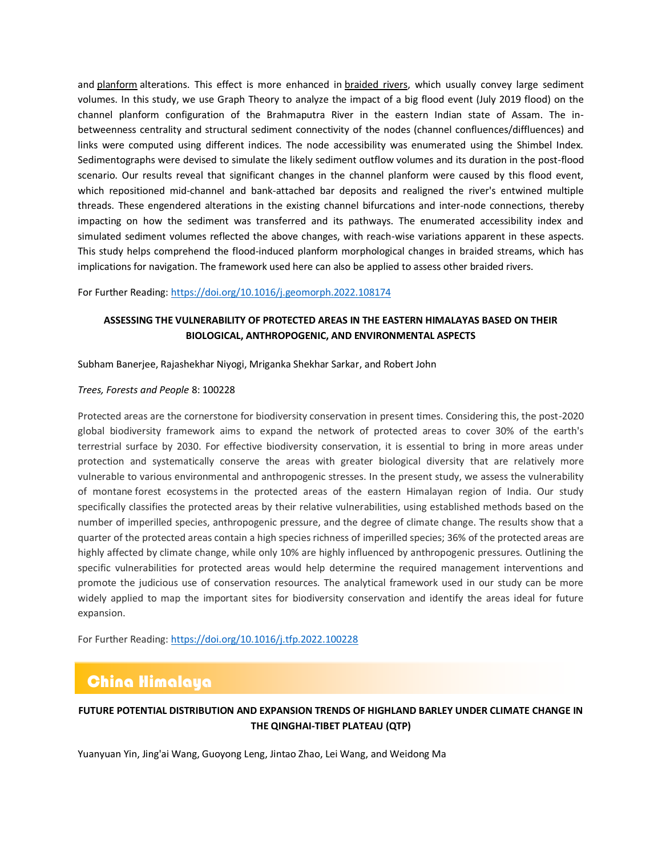and [planform](https://www.sciencedirect.com/topics/earth-and-planetary-sciences/planforms) alterations. This effect is more enhanced in [braided rivers,](https://www.sciencedirect.com/topics/earth-and-planetary-sciences/braided-river) which usually convey large sediment volumes. In this study, we use Graph Theory to analyze the impact of a big flood event (July 2019 flood) on the channel planform configuration of the Brahmaputra River in the eastern Indian state of Assam. The inbetweenness centrality and structural sediment connectivity of the nodes (channel confluences/diffluences) and links were computed using different indices. The node accessibility was enumerated using the Shimbel Index. Sedimentographs were devised to simulate the likely sediment outflow volumes and its duration in the post-flood scenario. Our results reveal that significant changes in the channel planform were caused by this flood event, which repositioned mid-channel and bank-attached bar deposits and realigned the river's entwined multiple threads. These engendered alterations in the existing channel bifurcations and inter-node connections, thereby impacting on how the sediment was transferred and its pathways. The enumerated accessibility index and simulated sediment volumes reflected the above changes, with reach-wise variations apparent in these aspects. This study helps comprehend the flood-induced planform morphological changes in braided streams, which has implications for navigation. The framework used here can also be applied to assess other braided rivers.

For Further Reading: <https://doi.org/10.1016/j.geomorph.2022.108174>

### **ASSESSING THE VULNERABILITY OF PROTECTED AREAS IN THE EASTERN HIMALAYAS BASED ON THEIR BIOLOGICAL, ANTHROPOGENIC, AND ENVIRONMENTAL ASPECTS**

Subham Banerjee, Rajashekhar Niyogi, Mriganka Shekhar Sarkar, and Robert John

### *Trees, Forests and People* 8: 100228

Protected areas are the cornerstone for biodiversity conservation in present times. Considering this, the post-2020 global biodiversity framework aims to expand the network of protected areas to cover 30% of the earth's terrestrial surface by 2030. For effective biodiversity conservation, it is essential to bring in more areas under protection and systematically conserve the areas with greater biological diversity that are relatively more vulnerable to various environmental and anthropogenic stresses. In the present study, we assess the vulnerability of montane [forest ecosystems](https://www.sciencedirect.com/topics/agricultural-and-biological-sciences/forest-ecosystems) in the protected areas of the eastern Himalayan region of India. Our study specifically classifies the protected areas by their relative vulnerabilities, using established methods based on the number of imperilled species, anthropogenic pressure, and the degree of climate change. The results show that a quarter of the protected areas contain a high species richness of imperilled species; 36% of the protected areas are highly affected by climate change, while only 10% are highly influenced by anthropogenic pressures. Outlining the specific vulnerabilities for protected areas would help determine the required management interventions and promote the judicious use of conservation resources. The analytical framework used in our study can be more widely applied to map the important sites for biodiversity conservation and identify the areas ideal for future expansion.

For Further Reading:<https://doi.org/10.1016/j.tfp.2022.100228>

# China Himalaya

### **FUTURE POTENTIAL DISTRIBUTION AND EXPANSION TRENDS OF HIGHLAND BARLEY UNDER CLIMATE CHANGE IN THE QINGHAI-TIBET PLATEAU (QTP)**

Yuanyuan Yin, Jing'ai Wang, Guoyong Leng, Jintao Zhao, Lei Wang, and Weidong Ma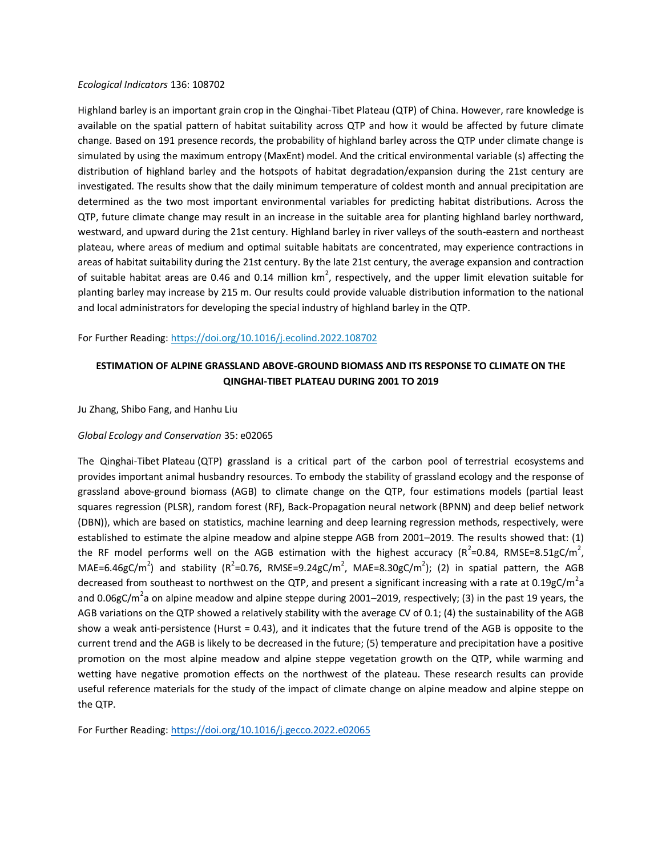#### *Ecological Indicators* 136: 108702

Highland barley is an important grain crop in the Qinghai-Tibet Plateau (QTP) of China. However, rare knowledge is available on the spatial pattern of habitat suitability across QTP and how it would be affected by future climate change. Based on 191 presence records, the probability of highland barley across the QTP under climate change is simulated by using the maximum entropy (MaxEnt) model. And the critical environmental variable (s) affecting the distribution of highland barley and the hotspots of habitat degradation/expansion during the 21st century are investigated. The results show that the daily minimum temperature of coldest month and annual precipitation are determined as the two most important environmental variables for predicting habitat distributions. Across the QTP, future climate change may result in an increase in the suitable area for planting highland barley northward, westward, and upward during the 21st century. Highland barley in river valleys of the south-eastern and northeast plateau, where areas of medium and optimal suitable habitats are concentrated, may experience contractions in areas of habitat suitability during the 21st century. By the late 21st century, the average expansion and contraction of suitable habitat areas are 0.46 and 0.14 million km<sup>2</sup>, respectively, and the upper limit elevation suitable for planting barley may increase by 215 m. Our results could provide valuable distribution information to the national and local administrators for developing the special industry of highland barley in the QTP.

For Further Reading:<https://doi.org/10.1016/j.ecolind.2022.108702>

### **ESTIMATION OF ALPINE GRASSLAND ABOVE-GROUND BIOMASS AND ITS RESPONSE TO CLIMATE ON THE QINGHAI-TIBET PLATEAU DURING 2001 TO 2019**

Ju Zhang, Shibo Fang, and Hanhu Liu

### *Global Ecology and Conservation* 35: e02065

The Qinghai-Tibet [Plateau](https://www.sciencedirect.com/topics/agricultural-and-biological-sciences/plateaus) (QTP) grassland is a critical part of the carbon pool of [terrestrial ecosystems](https://www.sciencedirect.com/topics/earth-and-planetary-sciences/terrestrial-ecosystem) and provides important animal husbandry resources. To embody the stability of grassland ecology and the response of grassland above-ground biomass (AGB) to climate change on the QTP, four estimations models (partial least squares regression (PLSR), random forest (RF), Back-Propagation [neural network](https://www.sciencedirect.com/topics/agricultural-and-biological-sciences/neural-networks) (BPNN) and deep belief network (DBN)), which are based on statistics, machine learning and deep learning regression methods, respectively, were established to estimate the [alpine meadow](https://www.sciencedirect.com/topics/agricultural-and-biological-sciences/alpine-meadows) and alpine [steppe](https://www.sciencedirect.com/topics/agricultural-and-biological-sciences/steppes) AGB from 2001–2019. The results showed that: (1) the RF model performs well on the AGB estimation with the highest accuracy ( $R^2$ =0.84, RMSE=8.51gC/m<sup>2</sup>, MAE=6.46gC/m<sup>2</sup>) and stability (R<sup>2</sup>=0.76, RMSE=9.24gC/m<sup>2</sup>, MAE=8.30gC/m<sup>2</sup>); (2) in spatial pattern, the AGB decreased from southeast to northwest on the QTP, and present a significant increasing with a rate at 0.19gC/m<sup>2</sup>a and 0.06gC/m<sup>2</sup>a on alpine meadow and alpine steppe during 2001–2019, respectively; (3) in the past 19 years, the AGB variations on the QTP showed a relatively stability with the average CV of 0.1; (4) the [sustainability](https://www.sciencedirect.com/topics/earth-and-planetary-sciences/environmental-impact-assessment) of the AGB show a weak anti-persistence (Hurst = 0.43), and it indicates that the future trend of the AGB is opposite to the current trend and the AGB is likely to be decreased in the future; (5) temperature and precipitation have a positive promotion on the most alpine meadow and alpine steppe vegetation growth on the QTP, while warming and wetting have negative promotion effects on the northwest of the plateau. These research results can provide useful reference materials for the study of the impact of climate change on alpine meadow and alpine steppe on the QTP.

For Further Reading: <https://doi.org/10.1016/j.gecco.2022.e02065>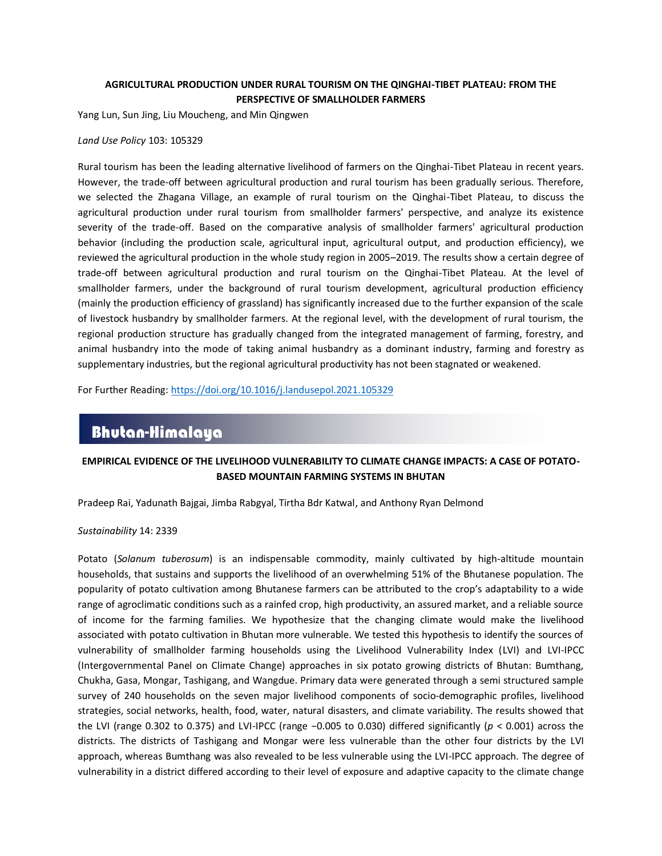### **AGRICULTURAL PRODUCTION UNDER RURAL TOURISM ON THE QINGHAI-TIBET PLATEAU: FROM THE PERSPECTIVE OF SMALLHOLDER FARMERS**

Yang Lun, Sun Jing, Liu Moucheng, and Min Qingwen

#### *Land Use Policy* 103: 105329

Rural tourism has been the leading alternative livelihood of farmers on the Qinghai-Tibet Plateau in recent years. However, the trade-off between agricultural production and rural tourism has been gradually serious. Therefore, we selected the Zhagana Village, an example of rural tourism on the Qinghai-Tibet Plateau, to discuss the agricultural production under rural tourism from smallholder farmers' perspective, and analyze its existence severity of the trade-off. Based on the comparative analysis of smallholder farmers' agricultural production behavior (including the production scale, agricultural input, agricultural output, and production efficiency), we reviewed the agricultural production in the whole study region in 2005–2019. The results show a certain degree of trade-off between agricultural production and rural tourism on the Qinghai-Tibet Plateau. At the level of smallholder farmers, under the background of rural tourism development, agricultural production efficiency (mainly the production efficiency of grassland) has significantly increased due to the further expansion of the scale of livestock husbandry by smallholder farmers. At the regional level, with the development of rural tourism, the regional production structure has gradually changed from the integrated management of farming, forestry, and animal husbandry into the mode of taking animal husbandry as a dominant industry, farming and forestry as supplementary industries, but the regional agricultural productivity has not been stagnated or weakened.

For Further Reading:<https://doi.org/10.1016/j.landusepol.2021.105329>

# Bhutan-Himalaya

### **EMPIRICAL EVIDENCE OF THE LIVELIHOOD VULNERABILITY TO CLIMATE CHANGE IMPACTS: A CASE OF POTATO-**malaya**BASED MOUNTAIN FARMING SYSTEMS IN BHUTAN**

Pradeep Rai, Yadunath Bajgai, Jimba Rabgyal, Tirtha Bdr Katwal, and Anthony Ryan Delmond

*Sustainability* 14: 2339

Potato (*Solanum tuberosum*) is an indispensable commodity, mainly cultivated by high-altitude mountain households, that sustains and supports the livelihood of an overwhelming 51% of the Bhutanese population. The popularity of potato cultivation among Bhutanese farmers can be attributed to the crop's adaptability to a wide range of agroclimatic conditions such as a rainfed crop, high productivity, an assured market, and a reliable source of income for the farming families. We hypothesize that the changing climate would make the livelihood associated with potato cultivation in Bhutan more vulnerable. We tested this hypothesis to identify the sources of vulnerability of smallholder farming households using the Livelihood Vulnerability Index (LVI) and LVI-IPCC (Intergovernmental Panel on Climate Change) approaches in six potato growing districts of Bhutan: Bumthang, Chukha, Gasa, Mongar, Tashigang, and Wangdue. Primary data were generated through a semi structured sample survey of 240 households on the seven major livelihood components of socio-demographic profiles, livelihood strategies, social networks, health, food, water, natural disasters, and climate variability. The results showed that the LVI (range 0.302 to 0.375) and LVI-IPCC (range −0.005 to 0.030) differed significantly (*p* < 0.001) across the districts. The districts of Tashigang and Mongar were less vulnerable than the other four districts by the LVI approach, whereas Bumthang was also revealed to be less vulnerable using the LVI-IPCC approach. The degree of vulnerability in a district differed according to their level of exposure and adaptive capacity to the climate change